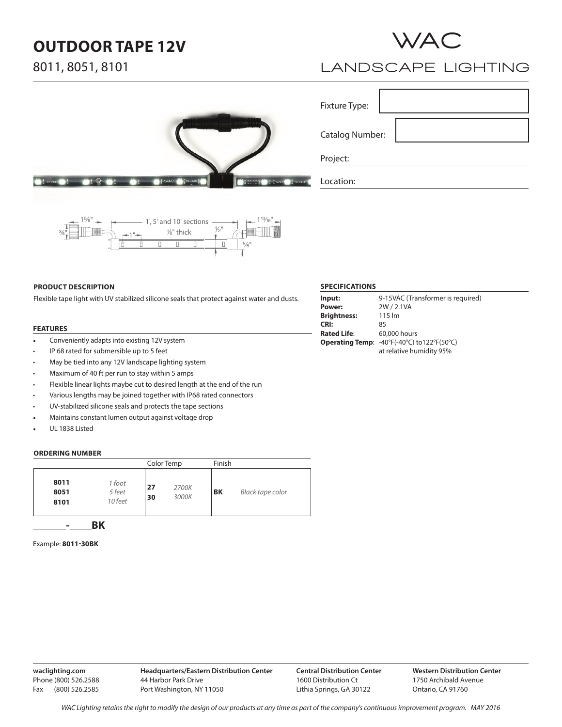# **OUTDOOR TAPE 12V**





# **LANDSCAPE LIGHTING**

| 12V AC. | <b>AND E 12V AC/DC</b><br>WAC. | ೧೯೮<br>InvisiLE<br>ъ<br><b>WAC</b> |
|---------|--------------------------------|------------------------------------|



### **PRODUCT DESCRIPTION**

Flexible tape light with UV stabilized silicone seals that protect against water and dusts.

### **FEATURES**

- Conveniently adapts into existing 12V system
- IP 68 rated for submersible up to 5 feet
- May be tied into any 12V landscape lighting system
- Maximum of 40 ft per run to stay within 5 amps
- Flexible linear lights maybe cut to desired length at the end of the run
- Various lengths may be joined together with IP68 rated connectors
- UV-stabilized silicone seals and protects the tape sections
- Maintains constant lumen output against voltage drop
- UL 1838 Listed

#### **ORDERING NUMBER**

|                      |                             | Color Temp |                | Finish    |                  |
|----------------------|-----------------------------|------------|----------------|-----------|------------------|
| 8011<br>8051<br>8101 | 1 foot<br>5 feet<br>10 feet | 27<br>30   | 2700K<br>3000K | <b>BK</b> | Black tape color |
| -                    |                             |            |                |           |                  |

### Example: **8011-30BK**

### **waclighting.com** Phone (800) 526.2588 Fax (800) 526.2585

### **SPECIFICATIONS**

Fixture Type:

Project:

Location:

Catalog Number:

| Input:             | 9-15VAC (Transformer is required)          |
|--------------------|--------------------------------------------|
| Power:             | 2W / 2.1VA                                 |
| <b>Brightness:</b> | $115 \mathrm{Im}$                          |
| <b>CRI:</b>        | 85                                         |
| Rated Life:        | 60,000 hours                               |
|                    | Operating Temp: -40°F(-40°C) to122°F(50°C) |
|                    | at relative humidity 95%                   |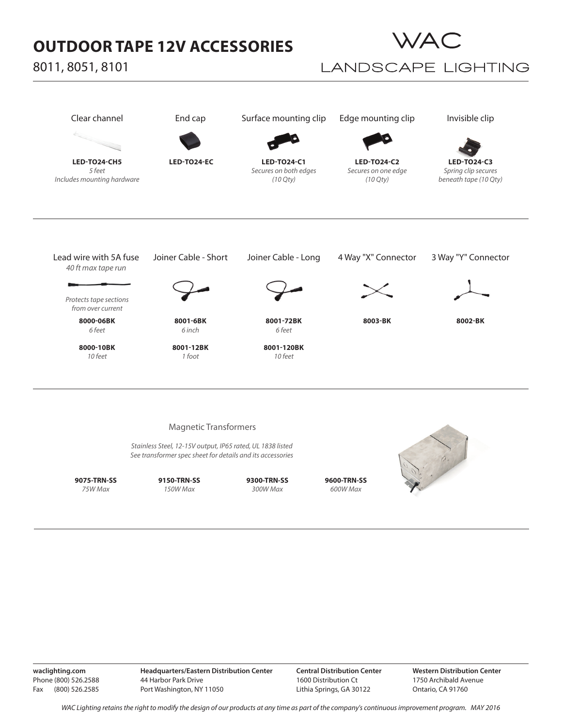# **OUTDOOR TAPE 12V ACCESSORIES**

8011, 8051, 8101



## **LANDSCAPE LIGHTING**



**waclighting.com** Phone (800) 526.2588 Fax (800) 526.2585 **Headquarters/Eastern Distribution Center** 44 Harbor Park Drive Port Washington, NY 11050

**Central Distribution Center** 1600 Distribution Ct Lithia Springs, GA 30122

**Western Distribution Center**  1750 Archibald Avenue Ontario, CA 91760

*WAC Lighting retains the right to modify the design of our products at any time as part of the company's continuous improvement program. MAy 2016*